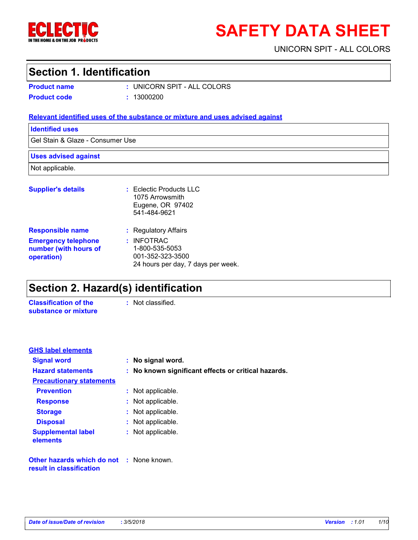

# **SAFETY DATA SHEET**

UNICORN SPIT - ALL COLORS

### **Section 1. Identification**

**Product name :** UNICORN SPIT - ALL COLORS **Product code :** 13000200

#### **Relevant identified uses of the substance or mixture and uses advised against**

| <b>Identified uses</b><br>Gel Stain & Glaze - Consumer Use |                                                                                  |  |  |
|------------------------------------------------------------|----------------------------------------------------------------------------------|--|--|
|                                                            |                                                                                  |  |  |
| Not applicable.                                            |                                                                                  |  |  |
| <b>Supplier's details</b>                                  | $:$ Eclectic Products LLC<br>1075 Arrowsmith<br>Eugene, OR 97402<br>541-484-9621 |  |  |
| <b>Responsible name</b><br><b>Emergency telephone</b>      | : Regulatory Affairs<br>: INFOTRAC                                               |  |  |
| number (with hours of<br>operation)                        | 1-800-535-5053<br>001-352-323-3500<br>24 hours per day, 7 days per week.         |  |  |

## **Section 2. Hazard(s) identification**

**Classification of the substance or mixture** : Not classified.

**GHS label elements**

| <b>Signal word</b>                                                          | No signal word.                                   |
|-----------------------------------------------------------------------------|---------------------------------------------------|
| <b>Hazard statements</b>                                                    | No known significant effects or critical hazards. |
| <b>Precautionary statements</b>                                             |                                                   |
| <b>Prevention</b>                                                           | : Not applicable.                                 |
| <b>Response</b>                                                             | : Not applicable.                                 |
| <b>Storage</b>                                                              | : Not applicable.                                 |
| <b>Disposal</b>                                                             | : Not applicable.                                 |
| <b>Supplemental label</b><br>elements                                       | : Not applicable.                                 |
| <b>Other hazards which do not : None known.</b><br>result in classification |                                                   |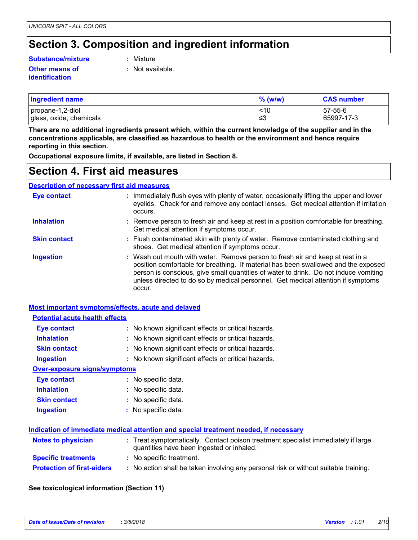# **Section 3. Composition and ingredient information**

#### **Substance/mixture :**

#### **Other means of identification**

- : Mixture
	- **:** Not available.

| <b>Ingredient name</b>  | $\%$ (w/w) | <b>CAS number</b> |
|-------------------------|------------|-------------------|
| propane-1,2-diol        | ~10        | 57-55-6           |
| glass, oxide, chemicals | ∣≤3        | 65997-17-3        |

**There are no additional ingredients present which, within the current knowledge of the supplier and in the concentrations applicable, are classified as hazardous to health or the environment and hence require reporting in this section.**

**Occupational exposure limits, if available, are listed in Section 8.**

### **Section 4. First aid measures**

#### **Description of necessary first aid measures**

| <b>Eye contact</b>  | : Immediately flush eyes with plenty of water, occasionally lifting the upper and lower<br>eyelids. Check for and remove any contact lenses. Get medical attention if irritation<br>occurs.                                                                                                                                                               |
|---------------------|-----------------------------------------------------------------------------------------------------------------------------------------------------------------------------------------------------------------------------------------------------------------------------------------------------------------------------------------------------------|
| <b>Inhalation</b>   | : Remove person to fresh air and keep at rest in a position comfortable for breathing.<br>Get medical attention if symptoms occur.                                                                                                                                                                                                                        |
| <b>Skin contact</b> | : Flush contaminated skin with plenty of water. Remove contaminated clothing and<br>shoes. Get medical attention if symptoms occur.                                                                                                                                                                                                                       |
| <b>Ingestion</b>    | : Wash out mouth with water. Remove person to fresh air and keep at rest in a<br>position comfortable for breathing. If material has been swallowed and the exposed<br>person is conscious, give small quantities of water to drink. Do not induce vomiting<br>unless directed to do so by medical personnel. Get medical attention if symptoms<br>occur. |

#### **Most important symptoms/effects, acute and delayed**

| <b>Potential acute health effects</b> |                                                     |  |  |  |
|---------------------------------------|-----------------------------------------------------|--|--|--|
|                                       | : No known significant effects or critical hazards. |  |  |  |
|                                       | : No known significant effects or critical hazards. |  |  |  |
|                                       | : No known significant effects or critical hazards. |  |  |  |
|                                       | : No known significant effects or critical hazards. |  |  |  |
| Over-exposure signs/symptoms          |                                                     |  |  |  |
|                                       | : No specific data.                                 |  |  |  |
|                                       | : No specific data.                                 |  |  |  |
|                                       | : No specific data.                                 |  |  |  |
|                                       | : No specific data.                                 |  |  |  |
|                                       |                                                     |  |  |  |
|                                       |                                                     |  |  |  |

| Indication of immediate medical attention and special treatment needed, if necessary |                                                                                                                                |  |  |
|--------------------------------------------------------------------------------------|--------------------------------------------------------------------------------------------------------------------------------|--|--|
| <b>Notes to physician</b>                                                            | : Treat symptomatically. Contact poison treatment specialist immediately if large<br>quantities have been ingested or inhaled. |  |  |
| <b>Specific treatments</b>                                                           | : No specific treatment.                                                                                                       |  |  |
| <b>Protection of first-aiders</b>                                                    | : No action shall be taken involving any personal risk or without suitable training.                                           |  |  |

#### **See toxicological information (Section 11)**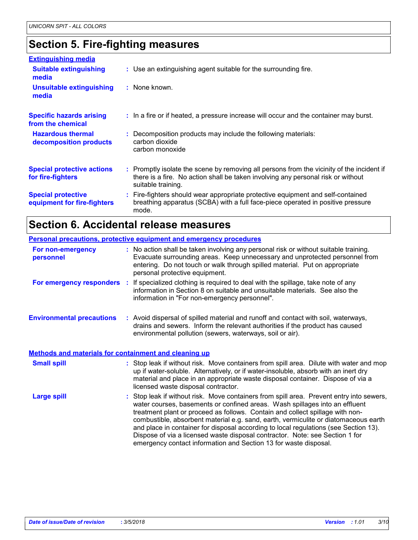# **Section 5. Fire-fighting measures**

| <b>Extinguishing media</b>                               |                                                                                                                                                                                                     |
|----------------------------------------------------------|-----------------------------------------------------------------------------------------------------------------------------------------------------------------------------------------------------|
| <b>Suitable extinguishing</b><br>media                   | : Use an extinguishing agent suitable for the surrounding fire.                                                                                                                                     |
| Unsuitable extinguishing<br>media                        | : None known.                                                                                                                                                                                       |
| <b>Specific hazards arising</b><br>from the chemical     | : In a fire or if heated, a pressure increase will occur and the container may burst.                                                                                                               |
| <b>Hazardous thermal</b><br>decomposition products       | : Decomposition products may include the following materials:<br>carbon dioxide<br>carbon monoxide                                                                                                  |
| <b>Special protective actions</b><br>for fire-fighters   | : Promptly isolate the scene by removing all persons from the vicinity of the incident if<br>there is a fire. No action shall be taken involving any personal risk or without<br>suitable training. |
| <b>Special protective</b><br>equipment for fire-fighters | : Fire-fighters should wear appropriate protective equipment and self-contained<br>breathing apparatus (SCBA) with a full face-piece operated in positive pressure<br>mode.                         |

# **Section 6. Accidental release measures**

|                                                       | <b>Personal precautions, protective equipment and emergency procedures</b>                                                                                                                                                                                                                                                                                                                                                                                                                                                                                                                  |
|-------------------------------------------------------|---------------------------------------------------------------------------------------------------------------------------------------------------------------------------------------------------------------------------------------------------------------------------------------------------------------------------------------------------------------------------------------------------------------------------------------------------------------------------------------------------------------------------------------------------------------------------------------------|
| For non-emergency<br>personnel                        | : No action shall be taken involving any personal risk or without suitable training.<br>Evacuate surrounding areas. Keep unnecessary and unprotected personnel from<br>entering. Do not touch or walk through spilled material. Put on appropriate<br>personal protective equipment.                                                                                                                                                                                                                                                                                                        |
| For emergency responders                              | : If specialized clothing is required to deal with the spillage, take note of any<br>information in Section 8 on suitable and unsuitable materials. See also the<br>information in "For non-emergency personnel".                                                                                                                                                                                                                                                                                                                                                                           |
| <b>Environmental precautions</b>                      | : Avoid dispersal of spilled material and runoff and contact with soil, waterways,<br>drains and sewers. Inform the relevant authorities if the product has caused<br>environmental pollution (sewers, waterways, soil or air).                                                                                                                                                                                                                                                                                                                                                             |
| Methods and materials for containment and cleaning up |                                                                                                                                                                                                                                                                                                                                                                                                                                                                                                                                                                                             |
| <b>Small spill</b>                                    | : Stop leak if without risk. Move containers from spill area. Dilute with water and mop<br>up if water-soluble. Alternatively, or if water-insoluble, absorb with an inert dry<br>material and place in an appropriate waste disposal container. Dispose of via a<br>licensed waste disposal contractor.                                                                                                                                                                                                                                                                                    |
| <b>Large spill</b>                                    | : Stop leak if without risk. Move containers from spill area. Prevent entry into sewers,<br>water courses, basements or confined areas. Wash spillages into an effluent<br>treatment plant or proceed as follows. Contain and collect spillage with non-<br>combustible, absorbent material e.g. sand, earth, vermiculite or diatomaceous earth<br>and place in container for disposal according to local regulations (see Section 13).<br>Dispose of via a licensed waste disposal contractor. Note: see Section 1 for<br>emergency contact information and Section 13 for waste disposal. |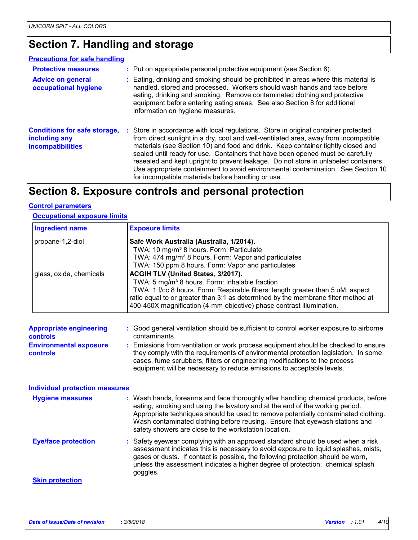# **Section 7. Handling and storage**

| <b>Precautions for safe handling</b>                                             |                                                                                                                                                                                                                                                                                                                                                                                                                                                                                                                                                                                    |
|----------------------------------------------------------------------------------|------------------------------------------------------------------------------------------------------------------------------------------------------------------------------------------------------------------------------------------------------------------------------------------------------------------------------------------------------------------------------------------------------------------------------------------------------------------------------------------------------------------------------------------------------------------------------------|
| <b>Protective measures</b>                                                       | : Put on appropriate personal protective equipment (see Section 8).                                                                                                                                                                                                                                                                                                                                                                                                                                                                                                                |
| <b>Advice on general</b><br>occupational hygiene                                 | : Eating, drinking and smoking should be prohibited in areas where this material is<br>handled, stored and processed. Workers should wash hands and face before<br>eating, drinking and smoking. Remove contaminated clothing and protective<br>equipment before entering eating areas. See also Section 8 for additional<br>information on hygiene measures.                                                                                                                                                                                                                      |
| <b>Conditions for safe storage,</b><br>including any<br><i>incompatibilities</i> | : Store in accordance with local regulations. Store in original container protected<br>from direct sunlight in a dry, cool and well-ventilated area, away from incompatible<br>materials (see Section 10) and food and drink. Keep container tightly closed and<br>sealed until ready for use. Containers that have been opened must be carefully<br>resealed and kept upright to prevent leakage. Do not store in unlabeled containers.<br>Use appropriate containment to avoid environmental contamination. See Section 10<br>for incompatible materials before handling or use. |

# **Section 8. Exposure controls and personal protection**

#### **Control parameters**

| <b>Ingredient name</b>                            | <b>Exposure limits</b>                                                                                                                                                                                                                                                                                                                                                                            |
|---------------------------------------------------|---------------------------------------------------------------------------------------------------------------------------------------------------------------------------------------------------------------------------------------------------------------------------------------------------------------------------------------------------------------------------------------------------|
| propane-1,2-diol                                  | Safe Work Australia (Australia, 1/2014).<br>TWA: 10 mg/m <sup>3</sup> 8 hours. Form: Particulate<br>TWA: 474 mg/m <sup>3</sup> 8 hours. Form: Vapor and particulates<br>TWA: 150 ppm 8 hours. Form: Vapor and particulates                                                                                                                                                                        |
| glass, oxide, chemicals                           | ACGIH TLV (United States, 3/2017).<br>TWA: 5 mg/m <sup>3</sup> 8 hours. Form: Inhalable fraction<br>TWA: 1 f/cc 8 hours. Form: Respirable fibers: length greater than 5 uM; aspect<br>ratio equal to or greater than 3:1 as determined by the membrane filter method at<br>400-450X magnification (4-mm objective) phase contrast illumination.                                                   |
| <b>Appropriate engineering</b><br><b>controls</b> | : Good general ventilation should be sufficient to control worker exposure to airborne<br>contaminants.                                                                                                                                                                                                                                                                                           |
| <b>Environmental exposure</b><br>controls         | Emissions from ventilation or work process equipment should be checked to ensure<br>they comply with the requirements of environmental protection legislation. In some<br>cases, fume scrubbers, filters or engineering modifications to the process<br>equipment will be necessary to reduce emissions to acceptable levels.                                                                     |
| <b>Individual protection measures</b>             |                                                                                                                                                                                                                                                                                                                                                                                                   |
| <b>Hygiene measures</b>                           | : Wash hands, forearms and face thoroughly after handling chemical products, before<br>eating, smoking and using the lavatory and at the end of the working period.<br>Appropriate techniques should be used to remove potentially contaminated clothing.<br>Wash contaminated clothing before reusing. Ensure that eyewash stations and<br>safety showers are close to the workstation location. |
| <b>Eye/face protection</b>                        | Safety eyewear complying with an approved standard should be used when a risk<br>assessment indicates this is necessary to avoid exposure to liquid splashes, mists,<br>gases or dusts. If contact is possible, the following protection should be worn,<br>unless the assessment indicates a higher degree of protection: chemical splash<br>goggles.                                            |
| <b>Skin protection</b>                            |                                                                                                                                                                                                                                                                                                                                                                                                   |

#### **Occupational exposure limits**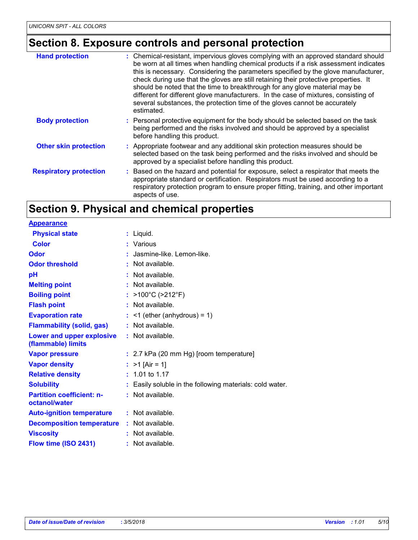# **Section 8. Exposure controls and personal protection**

| <b>Hand protection</b>        | : Chemical-resistant, impervious gloves complying with an approved standard should<br>be worn at all times when handling chemical products if a risk assessment indicates<br>this is necessary. Considering the parameters specified by the glove manufacturer,<br>check during use that the gloves are still retaining their protective properties. It<br>should be noted that the time to breakthrough for any glove material may be<br>different for different glove manufacturers. In the case of mixtures, consisting of<br>several substances, the protection time of the gloves cannot be accurately<br>estimated. |
|-------------------------------|---------------------------------------------------------------------------------------------------------------------------------------------------------------------------------------------------------------------------------------------------------------------------------------------------------------------------------------------------------------------------------------------------------------------------------------------------------------------------------------------------------------------------------------------------------------------------------------------------------------------------|
| <b>Body protection</b>        | : Personal protective equipment for the body should be selected based on the task<br>being performed and the risks involved and should be approved by a specialist<br>before handling this product.                                                                                                                                                                                                                                                                                                                                                                                                                       |
| <b>Other skin protection</b>  | : Appropriate footwear and any additional skin protection measures should be<br>selected based on the task being performed and the risks involved and should be<br>approved by a specialist before handling this product.                                                                                                                                                                                                                                                                                                                                                                                                 |
| <b>Respiratory protection</b> | Based on the hazard and potential for exposure, select a respirator that meets the<br>appropriate standard or certification. Respirators must be used according to a<br>respiratory protection program to ensure proper fitting, training, and other important<br>aspects of use.                                                                                                                                                                                                                                                                                                                                         |

# **Section 9. Physical and chemical properties**

| <b>Appearance</b>                                 |                                                          |
|---------------------------------------------------|----------------------------------------------------------|
| <b>Physical state</b>                             | : Liquid.                                                |
| <b>Color</b>                                      | : Various                                                |
| <b>Odor</b>                                       | : Jasmine-like. Lemon-like.                              |
| <b>Odor threshold</b>                             | : Not available.                                         |
| рH                                                | : Not available.                                         |
| <b>Melting point</b>                              | : Not available.                                         |
| <b>Boiling point</b>                              | : $>100^{\circ}$ C ( $>212^{\circ}$ F)                   |
| <b>Flash point</b>                                | : Not available.                                         |
| <b>Evaporation rate</b>                           | $:$ <1 (ether (anhydrous) = 1)                           |
| <b>Flammability (solid, gas)</b>                  | : Not available.                                         |
| Lower and upper explosive<br>(flammable) limits   | $:$ Not available.                                       |
| <b>Vapor pressure</b>                             | $: 2.7$ kPa (20 mm Hg) [room temperature]                |
| <b>Vapor density</b>                              | : $>1$ [Air = 1]                                         |
| <b>Relative density</b>                           | $: 1.01$ to 1.17                                         |
| <b>Solubility</b>                                 | : Easily soluble in the following materials: cold water. |
| <b>Partition coefficient: n-</b><br>octanol/water | : Not available.                                         |
| <b>Auto-ignition temperature</b>                  | : Not available.                                         |
| <b>Decomposition temperature</b>                  | $:$ Not available.                                       |
| <b>Viscosity</b>                                  | : Not available.                                         |
| Flow time (ISO 2431)                              | : Not available.                                         |
|                                                   |                                                          |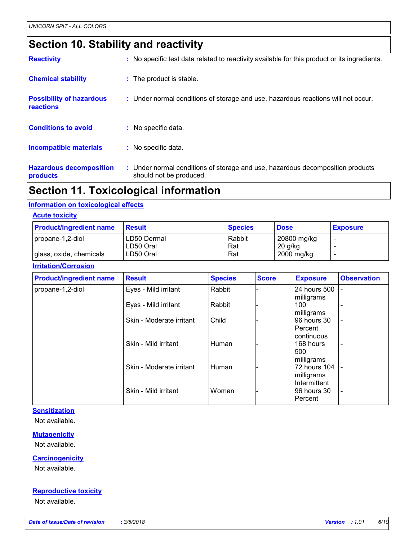# **Section 10. Stability and reactivity**

| <b>Hazardous decomposition</b><br>products   | : Under normal conditions of storage and use, hazardous decomposition products<br>should not be produced. |
|----------------------------------------------|-----------------------------------------------------------------------------------------------------------|
| <b>Incompatible materials</b>                | : No specific data.                                                                                       |
| <b>Conditions to avoid</b>                   | : No specific data.                                                                                       |
| <b>Possibility of hazardous</b><br>reactions | : Under normal conditions of storage and use, hazardous reactions will not occur.                         |
| <b>Chemical stability</b>                    | : The product is stable.                                                                                  |
| <b>Reactivity</b>                            | : No specific test data related to reactivity available for this product or its ingredients.              |

# **Section 11. Toxicological information**

#### **Information on toxicological effects**

#### **Acute toxicity**

| <b>Product/ingredient name</b> | Result      | <b>Species</b> | <b>Dose</b> | <b>Exposure</b> |
|--------------------------------|-------------|----------------|-------------|-----------------|
| propane-1,2-diol               | LD50 Dermal | Rabbit         | 20800 mg/kg |                 |
|                                | LD50 Oral   | Rat            | $20$ g/kg   |                 |
| glass, oxide, chemicals        | LD50 Oral   | Rat            | 2000 mg/kg  |                 |

#### **Irritation/Corrosion**

| <b>Product/ingredient name</b> | <b>Result</b>            | <b>Species</b> | <b>Score</b> | <b>Exposure</b>                      | <b>Observation</b>       |
|--------------------------------|--------------------------|----------------|--------------|--------------------------------------|--------------------------|
| propane-1,2-diol               | Eyes - Mild irritant     | Rabbit         |              | 24 hours 500                         |                          |
|                                | Eyes - Mild irritant     | Rabbit         |              | milligrams<br>100                    |                          |
|                                | Skin - Moderate irritant | Child          |              | milligrams<br>96 hours 30<br>Percent | $\overline{\phantom{a}}$ |
|                                | Skin - Mild irritant     | <b>Human</b>   |              | continuous<br>168 hours              |                          |
|                                |                          |                |              | 500<br>milligrams                    |                          |
|                                | Skin - Moderate irritant | <b>Human</b>   |              | 72 hours 104<br>milligrams           | $\overline{\phantom{a}}$ |
|                                | Skin - Mild irritant     | Woman          |              | <b>Intermittent</b><br>96 hours 30   | $\overline{\phantom{a}}$ |
|                                |                          |                |              | Percent                              |                          |

#### **Sensitization**

Not available.

#### **Mutagenicity**

Not available.

#### **Carcinogenicity**

Not available.

#### **Reproductive toxicity**

Not available.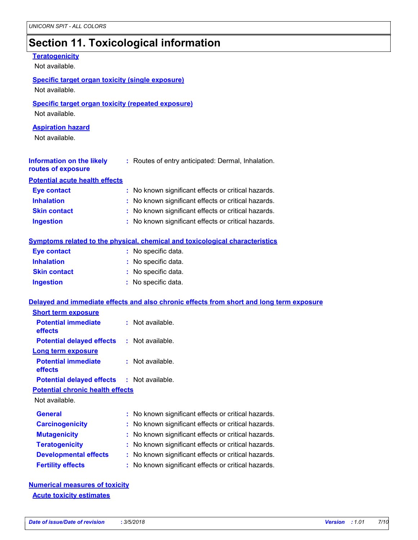## **Section 11. Toxicological information**

#### Not available. **Teratogenicity** Not available. **Information on the likely routes of exposure Inhalation <b>:** No known significant effects or critical hazards. **Ingestion :** No known significant effects or critical hazards. **Skin contact :** No known significant effects or critical hazards. **Eye contact :** No known significant effects or critical hazards. **General :** No known significant effects or critical hazards. **Carcinogenicity** : No known significant effects or critical hazards. **Mutagenicity :** No known significant effects or critical hazards. **Teratogenicity :** No known significant effects or critical hazards. **Developmental effects :** No known significant effects or critical hazards. **Symptoms related to the physical, chemical and toxicological characteristics Skin contact Ingestion Inhalation :** No specific data. No specific data. **:** No specific data. **: Eye contact :** No specific data. **Potential chronic health effects Delayed and immediate effects and also chronic effects from short and long term exposure Specific target organ toxicity (single exposure) Specific target organ toxicity (repeated exposure)** Not available. Not available. **Aspiration hazard** Not available. **:** Routes of entry anticipated: Dermal, Inhalation. **Potential acute health effects Potential immediate effects :** Not available. **Short term exposure Potential delayed effects :** Not available. **Potential immediate effects :** Not available. **Long term exposure Potential delayed effects :** Not available.

**Fertility effects :** No known significant effects or critical hazards.

**Numerical measures of toxicity Acute toxicity estimates**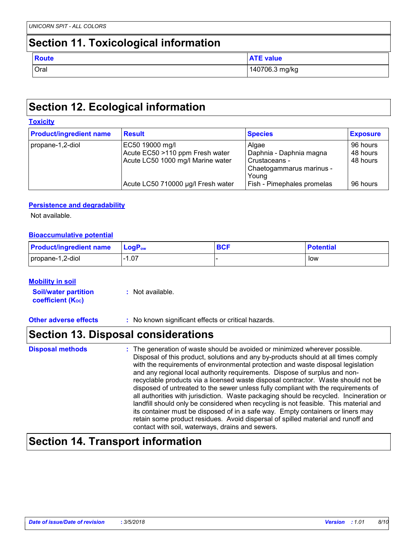## **Section 11. Toxicological information**

| Route | <b>ATE value</b> |
|-------|------------------|
| Oral  | 140706.3 mg/kg   |

## **Section 12. Ecological information**

| <b>Toxicity</b>                                                                                             |                                    |                                                                                        |                                  |  |  |  |
|-------------------------------------------------------------------------------------------------------------|------------------------------------|----------------------------------------------------------------------------------------|----------------------------------|--|--|--|
| <b>Product/ingredient name</b>                                                                              | <b>Result</b>                      | <b>Species</b>                                                                         | <b>Exposure</b>                  |  |  |  |
| EC50 19000 mg/l<br>propane-1,2-diol<br>Acute EC50 >110 ppm Fresh water<br>Acute LC50 1000 mg/l Marine water |                                    | Algae<br>Daphnia - Daphnia magna<br>Crustaceans -<br>Chaetogammarus marinus -<br>Young | 96 hours<br>48 hours<br>48 hours |  |  |  |
|                                                                                                             | Acute LC50 710000 µg/l Fresh water | Fish - Pimephales promelas                                                             | 96 hours                         |  |  |  |

#### **Persistence and degradability**

Not available.

#### **Bioaccumulative potential**

| <b>Product/ingredient name</b> | ∣ LoqP <sub>ow</sub> | BCI | <b>Potential</b> |
|--------------------------------|----------------------|-----|------------------|
| propane-1,2-diol               | . .07                |     | low              |

#### **Mobility in soil**

**Soil/water partition coefficient (KOC) :** Not available.

**Other adverse effects** : No known significant effects or critical hazards.

### **Section 13. Disposal considerations**

| <b>Disposal methods</b> | : The generation of waste should be avoided or minimized wherever possible.<br>Disposal of this product, solutions and any by-products should at all times comply<br>with the requirements of environmental protection and waste disposal legislation<br>and any regional local authority requirements. Dispose of surplus and non-<br>recyclable products via a licensed waste disposal contractor. Waste should not be<br>disposed of untreated to the sewer unless fully compliant with the requirements of |
|-------------------------|----------------------------------------------------------------------------------------------------------------------------------------------------------------------------------------------------------------------------------------------------------------------------------------------------------------------------------------------------------------------------------------------------------------------------------------------------------------------------------------------------------------|
|                         | all authorities with jurisdiction. Waste packaging should be recycled. Incineration or<br>landfill should only be considered when recycling is not feasible. This material and<br>its container must be disposed of in a safe way. Empty containers or liners may<br>retain some product residues. Avoid dispersal of spilled material and runoff and<br>contact with soil, waterways, drains and sewers.                                                                                                      |

# **Section 14. Transport information**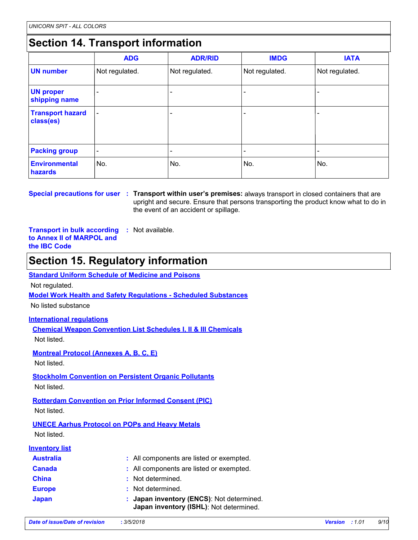# **Section 14. Transport information**

|                                      | <b>ADG</b>               | <b>ADR/RID</b> | <b>IMDG</b>              | <b>IATA</b>    |
|--------------------------------------|--------------------------|----------------|--------------------------|----------------|
| <b>UN number</b>                     | Not regulated.           | Not regulated. | Not regulated.           | Not regulated. |
| <b>UN proper</b><br>shipping name    |                          |                |                          |                |
| <b>Transport hazard</b><br>class(es) | $\overline{\phantom{0}}$ |                |                          |                |
| <b>Packing group</b>                 | $\overline{\phantom{a}}$ |                | $\overline{\phantom{0}}$ |                |
| <b>Environmental</b><br>hazards      | No.                      | No.            | No.                      | No.            |

**Special precautions for user** : Transport within user's premises: always transport in closed containers that are upright and secure. Ensure that persons transporting the product know what to do in the event of an accident or spillage.

**Transport in bulk according to Annex II of MARPOL and the IBC Code :** Not available.

### **Section 15. Regulatory information**

**Standard Uniform Schedule of Medicine and Poisons**

Not regulated.

**Model Work Health and Safety Regulations - Scheduled Substances**

No listed substance

**International regulations**

**Chemical Weapon Convention List Schedules I, II & III Chemicals** Not listed.

**Montreal Protocol (Annexes A, B, C, E)**

Not listed.

**Stockholm Convention on Persistent Organic Pollutants**

Not listed.

**Rotterdam Convention on Prior Informed Consent (PIC)**

Not listed.

#### **UNECE Aarhus Protocol on POPs and Heavy Metals**

Not listed.

#### **Inventory list**

| <b>Australia</b> | : All components are listed or exempted.                                             |
|------------------|--------------------------------------------------------------------------------------|
| <b>Canada</b>    | : All components are listed or exempted.                                             |
| <b>China</b>     | : Not determined.                                                                    |
| <b>Europe</b>    | : Not determined.                                                                    |
| <b>Japan</b>     | : Japan inventory (ENCS): Not determined.<br>Japan inventory (ISHL): Not determined. |